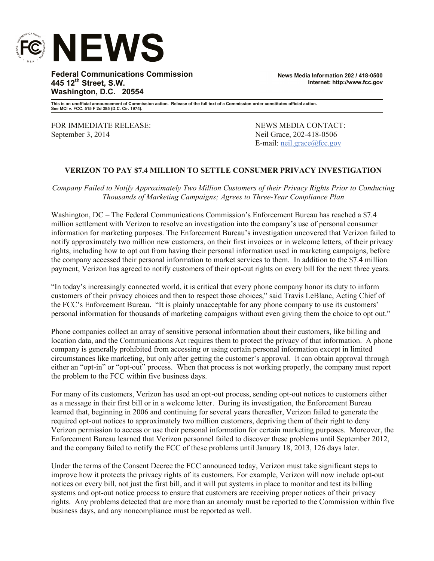

**Federal Communications Commission 445 12th Street, S.W. Washington, D.C. 20554**

**News Media Information 202 / 418-0500 Internet: http://www.fcc.gov**

**This is an unofficial announcement of Commission action. Release of the full text of a Commission order constitutes official action. See MCI v. FCC. 515 F 2d 385 (D.C. Cir. 1974).**

FOR IMMEDIATE RELEASE: NEWS MEDIA CONTACT: September 3, 2014 18-0506 Neil Grace, 202-418-0506

E-mail: neil.grace@fcc.gov

## **VERIZON TO PAY \$7.4 MILLION TO SETTLE CONSUMER PRIVACY INVESTIGATION**

*Company Failed to Notify Approximately Two Million Customers of their Privacy Rights Prior to Conducting Thousands of Marketing Campaigns; Agrees to Three-Year Compliance Plan*

Washington, DC – The Federal Communications Commission's Enforcement Bureau has reached a \$7.4 million settlement with Verizon to resolve an investigation into the company's use of personal consumer information for marketing purposes. The Enforcement Bureau's investigation uncovered that Verizon failed to notify approximately two million new customers, on their first invoices or in welcome letters, of their privacy rights, including how to opt out from having their personal information used in marketing campaigns, before the company accessed their personal information to market services to them. In addition to the \$7.4 million payment, Verizon has agreed to notify customers of their opt-out rights on every bill for the next three years.

"In today's increasingly connected world, it is critical that every phone company honor its duty to inform customers of their privacy choices and then to respect those choices," said Travis LeBlanc, Acting Chief of the FCC's Enforcement Bureau. "It is plainly unacceptable for any phone company to use its customers' personal information for thousands of marketing campaigns without even giving them the choice to opt out."

Phone companies collect an array of sensitive personal information about their customers, like billing and location data, and the Communications Act requires them to protect the privacy of that information. A phone company is generally prohibited from accessing or using certain personal information except in limited circumstances like marketing, but only after getting the customer's approval. It can obtain approval through either an "opt-in" or "opt-out" process. When that process is not working properly, the company must report the problem to the FCC within five business days.

For many of its customers, Verizon has used an opt-out process, sending opt-out notices to customers either as a message in their first bill or in a welcome letter. During its investigation, the Enforcement Bureau learned that, beginning in 2006 and continuing for several years thereafter, Verizon failed to generate the required opt-out notices to approximately two million customers, depriving them of their right to deny Verizon permission to access or use their personal information for certain marketing purposes. Moreover, the Enforcement Bureau learned that Verizon personnel failed to discover these problems until September 2012, and the company failed to notify the FCC of these problems until January 18, 2013, 126 days later.

Under the terms of the Consent Decree the FCC announced today, Verizon must take significant steps to improve how it protects the privacy rights of its customers. For example, Verizon will now include opt-out notices on every bill, not just the first bill, and it will put systems in place to monitor and test its billing systems and opt-out notice process to ensure that customers are receiving proper notices of their privacy rights. Any problems detected that are more than an anomaly must be reported to the Commission within five business days, and any noncompliance must be reported as well.